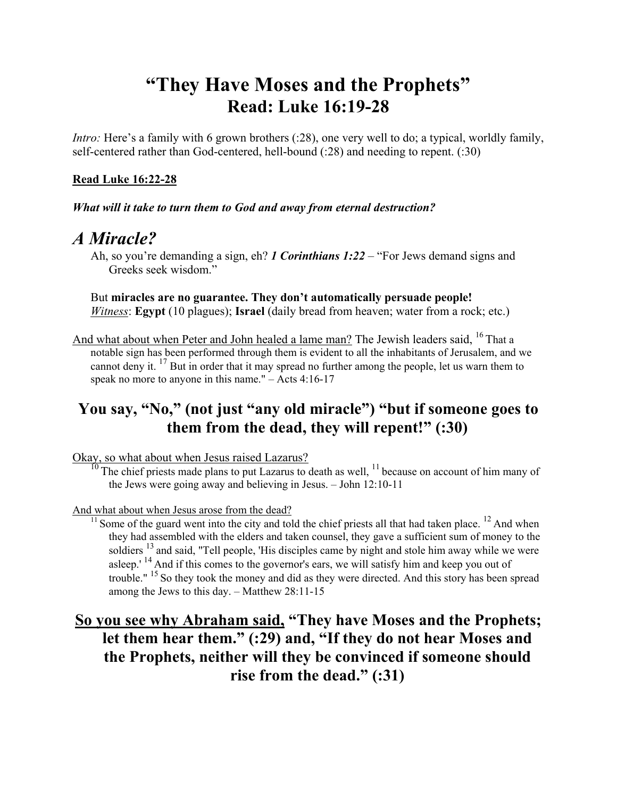# **"They Have Moses and the Prophets" Read: Luke 16:19-28**

*Intro:* Here's a family with 6 grown brothers (:28), one very well to do; a typical, worldly family, self-centered rather than God-centered, hell-bound (:28) and needing to repent. (:30)

### **Read Luke 16:22-28**

*What will it take to turn them to God and away from eternal destruction?* 

## *A Miracle?*

Ah, so you're demanding a sign, eh? *1 Corinthians 1:22* – "For Jews demand signs and Greeks seek wisdom."

But **miracles are no guarantee. They don't automatically persuade people!**  *Witness*: **Egypt** (10 plagues); **Israel** (daily bread from heaven; water from a rock; etc.)

And what about when Peter and John healed a lame man? The Jewish leaders said, <sup>16</sup> That a notable sign has been performed through them is evident to all the inhabitants of Jerusalem, and we cannot deny it. 17 But in order that it may spread no further among the people, let us warn them to speak no more to anyone in this name." – Acts 4:16-17

## **You say, "No," (not just "any old miracle") "but if someone goes to them from the dead, they will repent!" (:30)**

Okay, so what about when Jesus raised Lazarus?

 $10$  The chief priests made plans to put Lazarus to death as well,  $11$  because on account of him many of the Jews were going away and believing in Jesus. – John 12:10-11

#### And what about when Jesus arose from the dead?

 $11$  Some of the guard went into the city and told the chief priests all that had taken place.  $12$  And when they had assembled with the elders and taken counsel, they gave a sufficient sum of money to the soldiers  $^{13}$  and said, "Tell people, 'His disciples came by night and stole him away while we were asleep.'<sup>14</sup> And if this comes to the governor's ears, we will satisfy him and keep you out of trouble." 15 So they took the money and did as they were directed. And this story has been spread among the Jews to this day. – Matthew 28:11-15

## **So you see why Abraham said, "They have Moses and the Prophets; let them hear them." (:29) and, "If they do not hear Moses and the Prophets, neither will they be convinced if someone should rise from the dead." (:31)**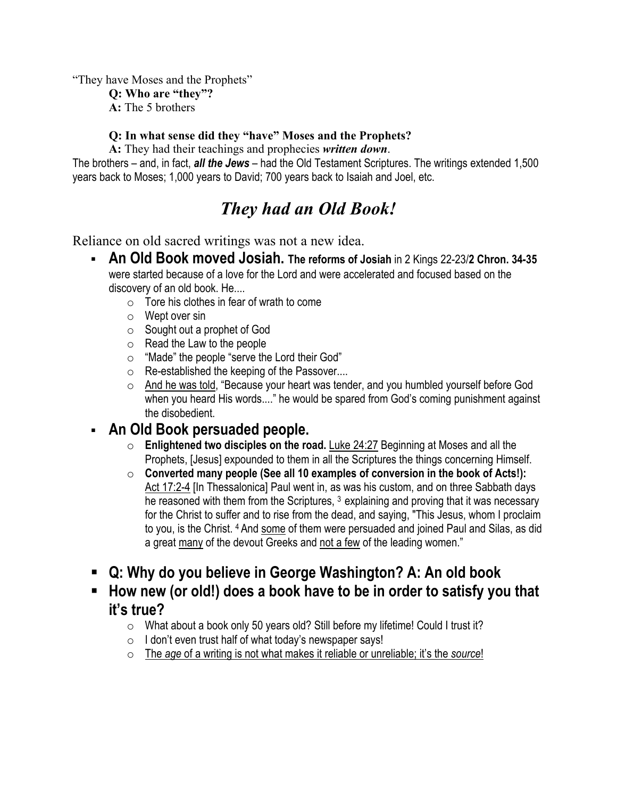"They have Moses and the Prophets"

**Q: Who are "they"?**

**A:** The 5 brothers

#### **Q: In what sense did they "have" Moses and the Prophets?**

**A:** They had their teachings and prophecies *written down*.

The brothers – and, in fact, *all the Jews* – had the Old Testament Scriptures. The writings extended 1,500 years back to Moses; 1,000 years to David; 700 years back to Isaiah and Joel, etc.

# *They had an Old Book!*

Reliance on old sacred writings was not a new idea.

- **An Old Book moved Josiah. The reforms of Josiah** in 2 Kings 22-23/**2 Chron. 34-35** were started because of a love for the Lord and were accelerated and focused based on the discovery of an old book. He....
	- $\circ$  Tore his clothes in fear of wrath to come
	- o Wept over sin
	- o Sought out a prophet of God
	- o Read the Law to the people
	- o "Made" the people "serve the Lord their God"
	- o Re-established the keeping of the Passover....
	- o And he was told, "Because your heart was tender, and you humbled yourself before God when you heard His words...." he would be spared from God's coming punishment against the disobedient.

### **An Old Book persuaded people.**

- o **Enlightened two disciples on the road.** Luke 24:27 Beginning at Moses and all the Prophets, [Jesus] expounded to them in all the Scriptures the things concerning Himself.
- o **Converted many people (See all 10 examples of conversion in the book of Acts!):** Act 17:2-4 [In Thessalonica] Paul went in, as was his custom, and on three Sabbath days he reasoned with them from the Scriptures, <sup>3</sup> explaining and proving that it was necessary for the Christ to suffer and to rise from the dead, and saying, "This Jesus, whom I proclaim to you, is the Christ. 4 And some of them were persuaded and joined Paul and Silas, as did a great many of the devout Greeks and not a few of the leading women."
- **Q: Why do you believe in George Washington? A: An old book**
- **How new (or old!) does a book have to be in order to satisfy you that it's true?** 
	- o What about a book only 50 years old? Still before my lifetime! Could I trust it?
	- $\circ$  I don't even trust half of what today's newspaper says!
	- o The *age* of a writing is not what makes it reliable or unreliable; it's the *source*!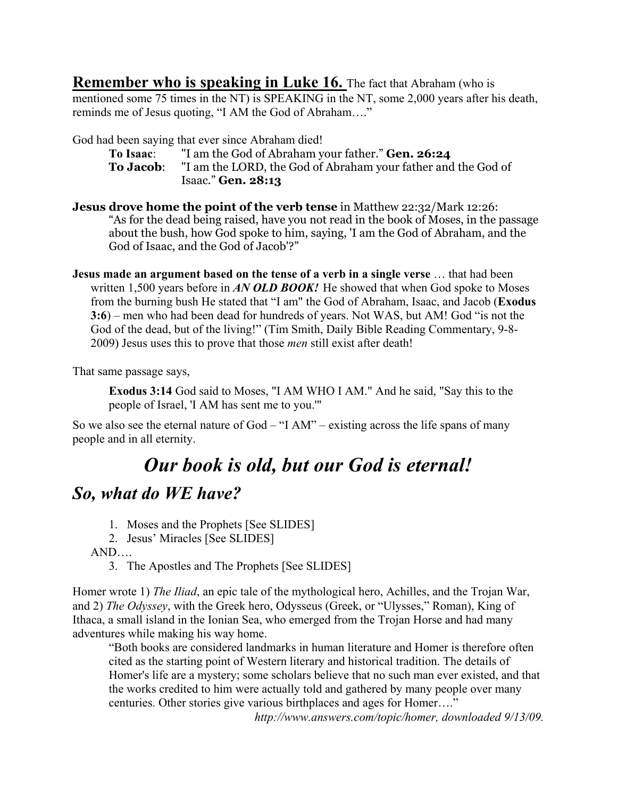**Remember who is speaking in Luke 16.** The fact that Abraham (who is mentioned some 75 times in the NT) is SPEAKING in the NT, some 2,000 years after his death, reminds me of Jesus quoting, "I AM the God of Abraham…."

God had been saying that ever since Abraham died!

- **To Isaac**: "I am the God of Abraham your father." **Gen. 26:24 To Jacob**: "I am the LORD, the God of Abraham your father and the God of Isaac." **Gen. 28:13**
- **Jesus drove home the point of the verb tense** in Matthew 22:32/Mark 12:26: "As for the dead being raised, have you not read in the book of Moses, in the passage about the bush, how God spoke to him, saying, 'I am the God of Abraham, and the God of Isaac, and the God of Jacob'?"
- **Jesus made an argument based on the tense of a verb in a single verse** … that had been written 1,500 years before in *AN OLD BOOK!* He showed that when God spoke to Moses from the burning bush He stated that "I am" the God of Abraham, Isaac, and Jacob (**Exodus 3:6**) – men who had been dead for hundreds of years. Not WAS, but AM! God "is not the God of the dead, but of the living!" (Tim Smith, Daily Bible Reading Commentary, 9-8- 2009) Jesus uses this to prove that those *men* still exist after death!

That same passage says,

**Exodus 3:14** God said to Moses, "I AM WHO I AM." And he said, "Say this to the people of Israel, 'I AM has sent me to you.'"

So we also see the eternal nature of God – "I AM" – existing across the life spans of many people and in all eternity.

## *Our book is old, but our God is eternal!*

## *So, what do WE have?*

- 1. Moses and the Prophets [See SLIDES]
- 2. Jesus' Miracles [See SLIDES]

AND….

3. The Apostles and The Prophets [See SLIDES]

Homer wrote 1) *The Iliad*, an epic tale of the mythological hero, Achilles, and the Trojan War, and 2) *The Odyssey*, with the Greek hero, Odysseus (Greek, or "Ulysses," Roman), King of Ithaca, a small island in the Ionian Sea, who emerged from the Trojan Horse and had many adventures while making his way home.

"Both books are considered landmarks in human literature and Homer is therefore often cited as the starting point of Western literary and historical tradition. The details of Homer's life are a mystery; some scholars believe that no such man ever existed, and that the works credited to him were actually told and gathered by many people over many centuries. Other stories give various birthplaces and ages for Homer…."

*http://www.answers.com/topic/homer, downloaded 9/13/09.*